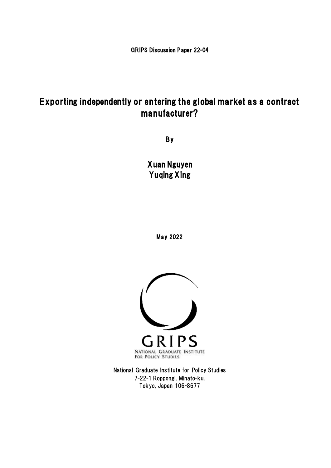GRIPS Discussion Paper 22-04

# Exporting independently or entering the global market as a contract manufacturer?

By

Xuan Nguyen Yuqing Xing

May 2022



National Graduate Institute for Policy Studies 7-22-1 Roppongi, Minato-ku, Tokyo, Japan 106-8677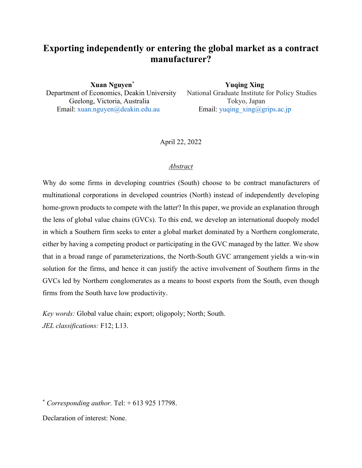# **Exporting independently or entering the global market as a contract manufacturer?**

 **Xuan Nguyen\* Yuqing Xing** Department of Economics, Deakin University National Graduate Institute for Policy Studies Geelong, Victoria, Australia Tokyo, Japan Email: xuan.nguyen@deakin.edu.au Email: yuqing\_xing@grips.ac.jp

April 22, 2022

# *Abstract*

Why do some firms in developing countries (South) choose to be contract manufacturers of multinational corporations in developed countries (North) instead of independently developing home-grown products to compete with the latter? In this paper, we provide an explanation through the lens of global value chains (GVCs). To this end, we develop an international duopoly model in which a Southern firm seeks to enter a global market dominated by a Northern conglomerate, either by having a competing product or participating in the GVC managed by the latter. We show that in a broad range of parameterizations, the North-South GVC arrangement yields a win-win solution for the firms, and hence it can justify the active involvement of Southern firms in the GVCs led by Northern conglomerates as a means to boost exports from the South, even though firms from the South have low productivity.

*Key words:* Global value chain; export; oligopoly; North; South. *JEL classifications:* F12; L13.

 $*$  *Corresponding author.* Tel:  $+$  613 925 17798.

Declaration of interest: None.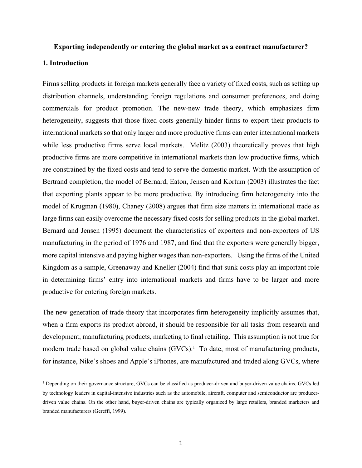#### **Exporting independently or entering the global market as a contract manufacturer?**

#### **1. Introduction**

Firms selling products in foreign markets generally face a variety of fixed costs, such as setting up distribution channels, understanding foreign regulations and consumer preferences, and doing commercials for product promotion. The new-new trade theory, which emphasizes firm heterogeneity, suggests that those fixed costs generally hinder firms to export their products to international markets so that only larger and more productive firms can enter international markets while less productive firms serve local markets. Melitz (2003) theoretically proves that high productive firms are more competitive in international markets than low productive firms, which are constrained by the fixed costs and tend to serve the domestic market. With the assumption of Bertrand completion, the model of Bernard, Eaton, Jensen and Kortum (2003) illustrates the fact that exporting plants appear to be more productive. By introducing firm heterogeneity into the model of Krugman (1980), Chaney (2008) argues that firm size matters in international trade as large firms can easily overcome the necessary fixed costs for selling products in the global market. Bernard and Jensen (1995) document the characteristics of exporters and non-exporters of US manufacturing in the period of 1976 and 1987, and find that the exporters were generally bigger, more capital intensive and paying higher wages than non-exporters. Using the firms of the United Kingdom as a sample, Greenaway and Kneller (2004) find that sunk costs play an important role in determining firms' entry into international markets and firms have to be larger and more productive for entering foreign markets.

The new generation of trade theory that incorporates firm heterogeneity implicitly assumes that, when a firm exports its product abroad, it should be responsible for all tasks from research and development, manufacturing products, marketing to final retailing. This assumption is not true for modern trade based on global value chains  $(GVCs)$ .<sup>1</sup> To date, most of manufacturing products, for instance, Nike's shoes and Apple's iPhones, are manufactured and traded along GVCs, where

<sup>&</sup>lt;sup>1</sup> Depending on their governance structure, GVCs can be classified as producer-driven and buyer-driven value chains. GVCs led by technology leaders in capital-intensive industries such as the automobile, aircraft, computer and semiconductor are producerdriven value chains. On the other hand, buyer-driven chains are typically organized by large retailers, branded marketers and branded manufacturers (Gereffi, 1999).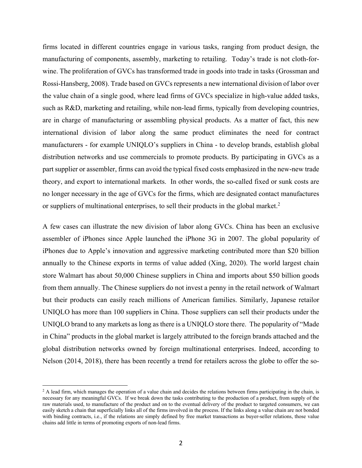firms located in different countries engage in various tasks, ranging from product design, the manufacturing of components, assembly, marketing to retailing. Today's trade is not cloth-forwine. The proliferation of GVCs has transformed trade in goods into trade in tasks (Grossman and Rossi-Hansberg, 2008). Trade based on GVCs represents a new international division of labor over the value chain of a single good, where lead firms of GVCs specialize in high-value added tasks, such as R&D, marketing and retailing, while non-lead firms, typically from developing countries, are in charge of manufacturing or assembling physical products. As a matter of fact, this new international division of labor along the same product eliminates the need for contract manufacturers - for example UNIQLO's suppliers in China - to develop brands, establish global distribution networks and use commercials to promote products. By participating in GVCs as a part supplier or assembler, firms can avoid the typical fixed costs emphasized in the new-new trade theory, and export to international markets. In other words, the so-called fixed or sunk costs are no longer necessary in the age of GVCs for the firms, which are designated contact manufactures or suppliers of multinational enterprises, to sell their products in the global market.<sup>2</sup>

A few cases can illustrate the new division of labor along GVCs. China has been an exclusive assembler of iPhones since Apple launched the iPhone 3G in 2007. The global popularity of iPhones due to Apple's innovation and aggressive marketing contributed more than \$20 billion annually to the Chinese exports in terms of value added (Xing, 2020). The world largest chain store Walmart has about 50,000 Chinese suppliers in China and imports about \$50 billion goods from them annually. The Chinese suppliers do not invest a penny in the retail network of Walmart but their products can easily reach millions of American families. Similarly, Japanese retailor UNIQLO has more than 100 suppliers in China. Those suppliers can sell their products under the UNIQLO brand to any markets as long as there is a UNIQLO store there. The popularity of "Made in China" products in the global market is largely attributed to the foreign brands attached and the global distribution networks owned by foreign multinational enterprises. Indeed, according to Nelson (2014, 2018), there has been recently a trend for retailers across the globe to offer the so-

 $^{2}$  A lead firm, which manages the operation of a value chain and decides the relations between firms participating in the chain, is necessary for any meaningful GVCs. If we break down the tasks contributing to the production of a product, from supply of the raw materials used, to manufacture of the product and on to the eventual delivery of the product to targeted consumers, we can easily sketch a chain that superficially links all of the firms involved in the process. If the links along a value chain are not bonded with binding contracts, i.e., if the relations are simply defined by free market transactions as buyer-seller relations, those value chains add little in terms of promoting exports of non-lead firms.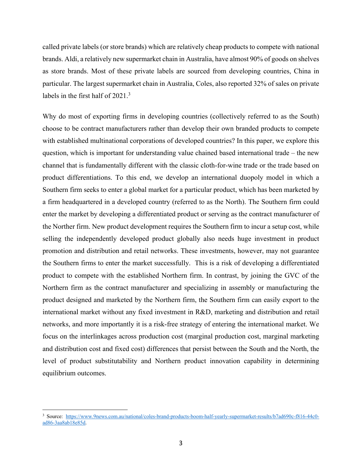called private labels (or store brands) which are relatively cheap products to compete with national brands. Aldi, a relatively new supermarket chain in Australia, have almost 90% of goods on shelves as store brands. Most of these private labels are sourced from developing countries, China in particular. The largest supermarket chain in Australia, Coles, also reported 32% of sales on private labels in the first half of 2021.<sup>3</sup>

Why do most of exporting firms in developing countries (collectively referred to as the South) choose to be contract manufacturers rather than develop their own branded products to compete with established multinational corporations of developed countries? In this paper, we explore this question, which is important for understanding value chained based international trade – the new channel that is fundamentally different with the classic cloth-for-wine trade or the trade based on product differentiations. To this end, we develop an international duopoly model in which a Southern firm seeks to enter a global market for a particular product, which has been marketed by a firm headquartered in a developed country (referred to as the North). The Southern firm could enter the market by developing a differentiated product or serving as the contract manufacturer of the Norther firm. New product development requires the Southern firm to incur a setup cost, while selling the independently developed product globally also needs huge investment in product promotion and distribution and retail networks. These investments, however, may not guarantee the Southern firms to enter the market successfully. This is a risk of developing a differentiated product to compete with the established Northern firm. In contrast, by joining the GVC of the Northern firm as the contract manufacturer and specializing in assembly or manufacturing the product designed and marketed by the Northern firm, the Southern firm can easily export to the international market without any fixed investment in R&D, marketing and distribution and retail networks, and more importantly it is a risk-free strategy of entering the international market. We focus on the interlinkages across production cost (marginal production cost, marginal marketing and distribution cost and fixed cost) differences that persist between the South and the North, the level of product substitutability and Northern product innovation capability in determining equilibrium outcomes.

<sup>&</sup>lt;sup>3</sup> Source: https://www.9news.com.au/national/coles-brand-products-boom-half-yearly-supermarket-results/b7ad690c-f816-44c0ad86-3aa8ab18e85d.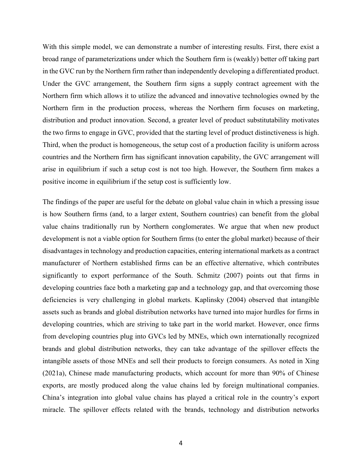With this simple model, we can demonstrate a number of interesting results. First, there exist a broad range of parameterizations under which the Southern firm is (weakly) better off taking part in the GVC run by the Northern firm rather than independently developing a differentiated product. Under the GVC arrangement, the Southern firm signs a supply contract agreement with the Northern firm which allows it to utilize the advanced and innovative technologies owned by the Northern firm in the production process, whereas the Northern firm focuses on marketing, distribution and product innovation. Second, a greater level of product substitutability motivates the two firms to engage in GVC, provided that the starting level of product distinctiveness is high. Third, when the product is homogeneous, the setup cost of a production facility is uniform across countries and the Northern firm has significant innovation capability, the GVC arrangement will arise in equilibrium if such a setup cost is not too high. However, the Southern firm makes a positive income in equilibrium if the setup cost is sufficiently low.

The findings of the paper are useful for the debate on global value chain in which a pressing issue is how Southern firms (and, to a larger extent, Southern countries) can benefit from the global value chains traditionally run by Northern conglomerates. We argue that when new product development is not a viable option for Southern firms (to enter the global market) because of their disadvantages in technology and production capacities, entering international markets as a contract manufacturer of Northern established firms can be an effective alternative, which contributes significantly to export performance of the South. Schmitz (2007) points out that firms in developing countries face both a marketing gap and a technology gap, and that overcoming those deficiencies is very challenging in global markets. Kaplinsky (2004) observed that intangible assets such as brands and global distribution networks have turned into major hurdles for firms in developing countries, which are striving to take part in the world market. However, once firms from developing countries plug into GVCs led by MNEs, which own internationally recognized brands and global distribution networks, they can take advantage of the spillover effects the intangible assets of those MNEs and sell their products to foreign consumers. As noted in Xing (2021a), Chinese made manufacturing products, which account for more than 90% of Chinese exports, are mostly produced along the value chains led by foreign multinational companies. China's integration into global value chains has played a critical role in the country's export miracle. The spillover effects related with the brands, technology and distribution networks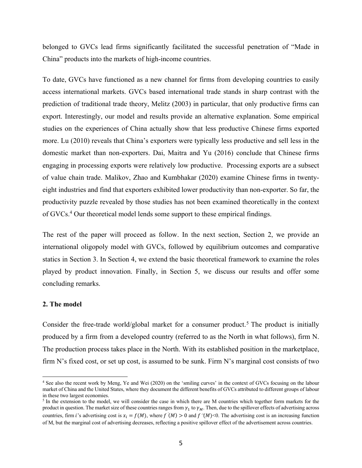belonged to GVCs lead firms significantly facilitated the successful penetration of "Made in China" products into the markets of high-income countries.

To date, GVCs have functioned as a new channel for firms from developing countries to easily access international markets. GVCs based international trade stands in sharp contrast with the prediction of traditional trade theory, Melitz (2003) in particular, that only productive firms can export. Interestingly, our model and results provide an alternative explanation. Some empirical studies on the experiences of China actually show that less productive Chinese firms exported more. Lu (2010) reveals that China's exporters were typically less productive and sell less in the domestic market than non-exporters. Dai, Maitra and Yu (2016) conclude that Chinese firms engaging in processing exports were relatively low productive. Processing exports are a subsect of value chain trade. Malikov, Zhao and Kumbhakar (2020) examine Chinese firms in twentyeight industries and find that exporters exhibited lower productivity than non-exporter. So far, the productivity puzzle revealed by those studies has not been examined theoretically in the context of GVCs.4 Our theoretical model lends some support to these empirical findings.

The rest of the paper will proceed as follow. In the next section, Section 2, we provide an international oligopoly model with GVCs, followed by equilibrium outcomes and comparative statics in Section 3. In Section 4, we extend the basic theoretical framework to examine the roles played by product innovation. Finally, in Section 5, we discuss our results and offer some concluding remarks.

#### **2. The model**

Consider the free-trade world/global market for a consumer product.<sup>5</sup> The product is initially produced by a firm from a developed country (referred to as the North in what follows), firm N. The production process takes place in the North. With its established position in the marketplace, firm N's fixed cost, or set up cost, is assumed to be sunk. Firm N's marginal cost consists of two

<sup>4</sup> See also the recent work by Meng, Ye and Wei (2020) on the 'smiling curves' in the context of GVCs focusing on the labour market of China and the United States, where they document the different benefits of GVCs attributed to different groups of labour in these two largest economies.

<sup>&</sup>lt;sup>5</sup> In the extension to the model, we will consider the case in which there are M countries which together form markets for the product in question. The market size of these countries ranges from  $\gamma_1$  to  $\gamma_M$ . Then, due to the spillover effects of advertising across countries, firm *i*'s advertising cost is  $x_i = f(M)$ , where  $f'(M) > 0$  and  $f'(M) < 0$ . The advertising cost is an increasing function of M, but the marginal cost of advertising decreases, reflecting a positive spillover effect of the advertisement across countries.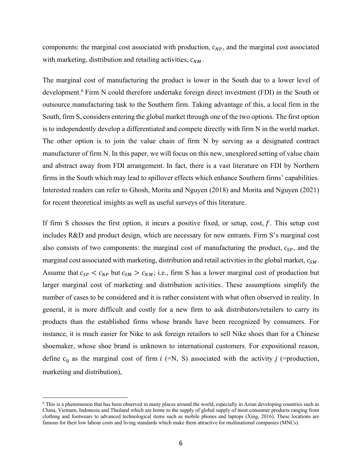components: the marginal cost associated with production,  $c_{NP}$ , and the marginal cost associated with marketing, distribution and retailing activities,  $c_{NM}$ .

The marginal cost of manufacturing the product is lower in the South due to a lower level of development.6 Firm N could therefore undertake foreign direct investment (FDI) in the South or outsource manufacturing task to the Southern firm. Taking advantage of this, a local firm in the South, firm S, considers entering the global market through one of the two options. The first option is to independently develop a differentiated and compete directly with firm N in the world market. The other option is to join the value chain of firm N by serving as a designated contract manufacturer of firm N. In this paper, we will focus on this new, unexplored setting of value chain and abstract away from FDI arrangement. In fact, there is a vast literature on FDI by Northern firms in the South which may lead to spillover effects which enhance Southern firms' capabilities. Interested readers can refer to Ghosh, Morita and Nguyen (2018) and Morita and Nguyen (2021) for recent theoretical insights as well as useful surveys of this literature.

If firm S chooses the first option, it incurs a positive fixed, or setup, cost,  $f$ . This setup cost includes R&D and product design, which are necessary for new entrants. Firm S's marginal cost also consists of two components: the marginal cost of manufacturing the product,  $c_{SP}$ , and the marginal cost associated with marketing, distribution and retail activities in the global market,  $c_{SM}$ . Assume that  $c_{SP} < c_{NP}$  but  $c_{SM} > c_{NM}$ ; i.e., firm S has a lower marginal cost of production but larger marginal cost of marketing and distribution activities. These assumptions simplify the number of cases to be considered and it is rather consistent with what often observed in reality. In general, it is more difficult and costly for a new firm to ask distributors/retailers to carry its products than the established firms whose brands have been recognized by consumers. For instance, it is much easier for Nike to ask foreign retailors to sell Nike shoes than for a Chinese shoemaker, whose shoe brand is unknown to international customers. For expositional reason, define  $c_{ij}$  as the marginal cost of firm  $i$  (=N, S) associated with the activity  $j$  (=production, marketing and distribution),

<sup>6</sup> This is a phenomenon that has been observed in many places around the world, especially in Asian developing countries such as China, Vietnam, Indonesia and Thailand which are home to the supply of global supply of most consumer products ranging from clothing and footwears to advanced technological items such as mobile phones and laptops (Xing, 2016). These locations are famous for their low labour costs and living standards which make them attractive for multinational companies (MNCs).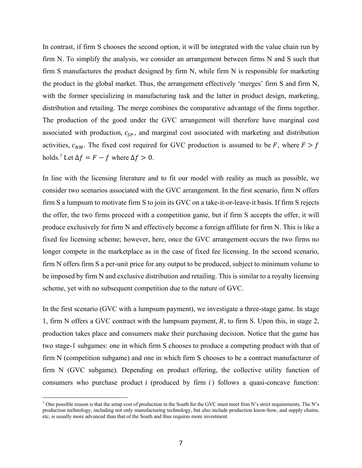In contrast, if firm S chooses the second option, it will be integrated with the value chain run by firm N. To simplify the analysis, we consider an arrangement between firms N and S such that firm S manufactures the product designed by firm N, while firm N is responsible for marketing the product in the global market. Thus, the arrangement effectively 'merges' firm S and firm N, with the former specializing in manufacturing task and the latter in product design, marketing, distribution and retailing. The merge combines the comparative advantage of the firms together. The production of the good under the GVC arrangement will therefore have marginal cost associated with production,  $c_{SP}$ , and marginal cost associated with marketing and distribution activities,  $c_{NM}$ . The fixed cost required for GVC production is assumed to be F, where  $F > f$ holds.<sup>7</sup> Let  $\Delta f = F - f$  where  $\Delta f > 0$ .

In line with the licensing literature and to fit our model with reality as much as possible, we consider two scenarios associated with the GVC arrangement. In the first scenario, firm N offers firm S a lumpsum to motivate firm S to join its GVC on a take-it-or-leave-it basis. If firm S rejects the offer, the two firms proceed with a competition game, but if firm S accepts the offer, it will produce exclusively for firm N and effectively become a foreign affiliate for firm N. This is like a fixed fee licensing scheme; however, here, once the GVC arrangement occurs the two firms no longer compete in the marketplace as in the case of fixed fee licensing. In the second scenario, firm N offers firm S a per-unit price for any output to be produced, subject to minimum volume to be imposed by firm N and exclusive distribution and retailing. This is similar to a royalty licensing scheme, yet with no subsequent competition due to the nature of GVC.

In the first scenario (GVC with a lumpsum payment), we investigate a three-stage game. In stage 1, firm N offers a GVC contract with the lumpsum payment,  $R$ , to firm S. Upon this, in stage 2, production takes place and consumers make their purchasing decision. Notice that the game has two stage-1 subgames: one in which firm S chooses to produce a competing product with that of firm N (competition subgame) and one in which firm S chooses to be a contract manufacturer of firm N (GVC subgame). Depending on product offering, the collective utility function of consumers who purchase product  $i$  (produced by firm  $i$ ) follows a quasi-concave function:

<sup>&</sup>lt;sup>7</sup> One possible reason is that the setup cost of production in the South for the GVC must meet firm N's strict requirements. The N's production technology, including not only manufacturing technology, but also include production know-how, and supply chains, etc, is usually more advanced than that of the South and thus requires more investment.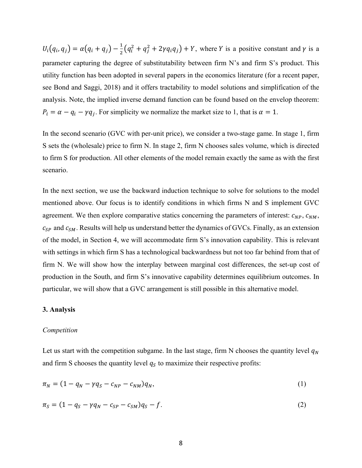$U_i(q_i, q_j) = \alpha(q_i + q_j) - \frac{1}{2}(q_i^2 + q_j^2 + 2\gamma q_i q_j) + Y$ , where Y is a positive constant and  $\gamma$  is a parameter capturing the degree of substitutability between firm N's and firm S's product. This utility function has been adopted in several papers in the economics literature (for a recent paper, see Bond and Saggi, 2018) and it offers tractability to model solutions and simplification of the analysis. Note, the implied inverse demand function can be found based on the envelop theorem:  $P_i = \alpha - q_i - \gamma q_j$ . For simplicity we normalize the market size to 1, that is  $\alpha = 1$ .

In the second scenario (GVC with per-unit price), we consider a two-stage game. In stage 1, firm S sets the (wholesale) price to firm N. In stage 2, firm N chooses sales volume, which is directed to firm S for production. All other elements of the model remain exactly the same as with the first scenario.

In the next section, we use the backward induction technique to solve for solutions to the model mentioned above. Our focus is to identify conditions in which firms N and S implement GVC agreement. We then explore comparative statics concerning the parameters of interest:  $c_{NP}$ ,  $c_{NM}$ ,  $c_{SP}$  and  $c_{SM}$ . Results will help us understand better the dynamics of GVCs. Finally, as an extension of the model, in Section 4, we will accommodate firm S's innovation capability. This is relevant with settings in which firm S has a technological backwardness but not too far behind from that of firm N. We will show how the interplay between marginal cost differences, the set-up cost of production in the South, and firm S's innovative capability determines equilibrium outcomes. In particular, we will show that a GVC arrangement is still possible in this alternative model.

#### **3. Analysis**

#### *Competition*

Let us start with the competition subgame. In the last stage, firm N chooses the quantity level  $q_N$ and firm S chooses the quantity level  $q_s$  to maximize their respective profits:

$$
\pi_N = (1 - q_N - \gamma q_S - c_{NP} - c_{NM})q_N,
$$
\n(1)

$$
\pi_S = (1 - q_S - \gamma q_N - c_{SP} - c_{SM})q_S - f. \tag{2}
$$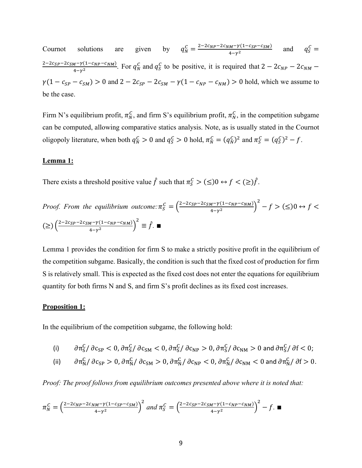Cournot solutions are given by  $q_N^C = \frac{2-2c_{NP}-2c_{NM}-\gamma(1-c_{SP}-c_{SM})}{4-\gamma^2}$  and  $q_S^C =$  $\frac{2-2c_{SP}-2c_{SM}-\gamma(1-c_{NP}-c_{NM})}{4-\gamma^2}$ . For  $q_N^C$  and  $q_S^C$  to be positive, it is required that  $2-2c_{NP}-2c_{NM} \gamma(1 - c_{SP} - c_{SM}) > 0$  and  $2 - 2c_{SP} - 2c_{SM} - \gamma(1 - c_{NP} - c_{NM}) > 0$  hold, which we assume to be the case.

Firm N's equilibrium profit,  $\pi_N^C$ , and firm S's equilibrium profit,  $\pi_N^C$ , in the competition subgame can be computed, allowing comparative statics analysis. Note, as is usually stated in the Cournot oligopoly literature, when both  $q_N^C > 0$  and  $q_S^C > 0$  hold,  $\pi_N^C = (q_N^C)^2$  and  $\pi_S^C = (q_S^C)^2 - f$ .

#### **Lemma 1:**

There exists a threshold positive value  $\hat{f}$  such that  $\pi_S^C > (\leq)0 \leftrightarrow f < (\geq) \hat{f}$ .

*Proof.* From the equilibrium outcome: 
$$
\pi_S^C = \left(\frac{2-2c_{SP}-2c_{SM}-\gamma(1-c_{NP}-c_{NM})}{4-\gamma^2}\right)^2 - f > (\leq) 0 \leftrightarrow f < (\geq) \left(\frac{2-2c_{SP}-2c_{SM}-\gamma(1-c_{NP}-c_{NM})}{4-\gamma^2}\right)^2 \equiv \hat{f}.
$$

Lemma 1 provides the condition for firm S to make a strictly positive profit in the equilibrium of the competition subgame. Basically, the condition is such that the fixed cost of production for firm S is relatively small. This is expected as the fixed cost does not enter the equations for equilibrium quantity for both firms N and S, and firm S's profit declines as its fixed cost increases.

#### **Proposition 1:**

In the equilibrium of the competition subgame, the following hold:

(i) 
$$
\partial \pi_S^C / \partial c_{SP} < 0
$$
,  $\partial \pi_S^C / \partial c_{SM} < 0$ ,  $\partial \pi_S^C / \partial c_{NP} > 0$ ,  $\partial \pi_S^C / \partial c_{NM} > 0$  and  $\partial \pi_S^C / \partial f < 0$ ;

(ii)  $\partial \pi_N^C / \partial c_{\rm SP} > 0$ ,  $\partial \pi_N^C / \partial c_{\rm SM} > 0$ ,  $\partial \pi_N^C / \partial c_{\rm NP} < 0$ ,  $\partial \pi_N^C / \partial c_{\rm NM} < 0$  and  $\partial \pi_N^C / \partial f > 0$ .

*Proof: The proof follows from equilibrium outcomes presented above where it is noted that:*

$$
\pi_N^C = \left(\frac{2 - 2c_{NP} - 2c_{NM} - \gamma(1 - c_{SP} - c_{SM})}{4 - \gamma^2}\right)^2 \text{ and } \pi_S^C = \left(\frac{2 - 2c_{SP} - 2c_{SM} - \gamma(1 - c_{NP} - c_{NM})}{4 - \gamma^2}\right)^2 - f. \blacksquare
$$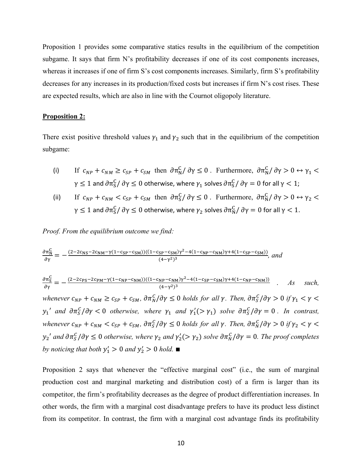Proposition 1 provides some comparative statics results in the equilibrium of the competition subgame. It says that firm N's profitability decreases if one of its cost components increases, whereas it increases if one of firm S's cost components increases. Similarly, firm S's profitability decreases for any increases in its production/fixed costs but increases if firm N's cost rises. These are expected results, which are also in line with the Cournot oligopoly literature.

#### **Proposition 2:**

There exist positive threshold values  $\gamma_1$  and  $\gamma_2$  such that in the equilibrium of the competition subgame:

- (i) If  $c_{NP} + c_{NM} \ge c_{SP} + c_{SM}$  then  $\partial \pi_N^C / \partial \gamma \le 0$ . Furthermore,  $\partial \pi_N^C / \partial \gamma > 0 \leftrightarrow \gamma_1$  $\gamma\leq 1$  and  $\partial\pi_S^\mathsf{C}/\,\partial\gamma\leq 0$  otherwise, where  $\gamma_1$  solves  $\partial\pi_S^\mathsf{C}/\,\partial\gamma=0$  for all  $\gamma< 1;$
- (ii) If  $c_{NP} + c_{NM} < c_{SP} + c_{SM}$  then  $\partial \pi_S^C / \partial \gamma \leq 0$ . Furthermore,  $\partial \pi_N^C / \partial \gamma > 0 \leftrightarrow \gamma_2$  $\gamma\leq 1$  and  $\partial\pi_S^\mathsf{C}/\,\partial\gamma\leq 0$  otherwise, where  $\gamma_2$  solves  $\partial\pi_N^\mathsf{C}/\,\partial\gamma=0$  for all  $\gamma< 1$ .

*Proof. From the equilibrium outcome we find:*

$$
\frac{\partial \pi_N^C}{\partial \gamma} = -\frac{(2 - 2c_{\rm NS} - 2c_{\rm NM} - \gamma (1 - c_{\rm SP} - c_{\rm SM}))((1 - c_{\rm SP} - c_{\rm SM})\gamma^2 - 4(1 - c_{\rm NP} - c_{\rm NM})\gamma + 4(1 - c_{\rm SP} - c_{\rm SM}))}{(4 - \gamma^2)^3}, \text{ and}
$$

$$
\frac{\partial \pi_S^C}{\partial \gamma} = -\frac{(2 - 2c_{PS} - 2c_{PM} - \gamma (1 - c_{NP} - c_{NM}))((1 - c_{NP} - c_{NM})\gamma^2 - 4(1 - c_{SP} - c_{SM})\gamma + 4(1 - c_{NP} - c_{NM}))}{(4 - \gamma^2)^3} \quad . \quad \text{As} \quad such,
$$

whenever  $c_{NP} + c_{NM} \geq c_{SP} + c_{SM}$ ,  $\partial \pi_N^C / \partial \gamma \leq 0$  holds for all  $\gamma$ . Then,  $\partial \pi_S^C / \partial \gamma > 0$  if  $\gamma_1 < \gamma <$  $y_1'$  and  $\frac{\partial \pi_S^C}{\partial \gamma} < 0$  otherwise, where  $\gamma_1$  and  $\gamma_1'(\gamma_1)$  solve  $\frac{\partial \pi_S^C}{\partial \gamma} = 0$ . In contrast, whenever  $c_{NP} + c_{NM} < c_{SP} + c_{SM}$ ,  $\partial \pi_S^C/\partial \gamma \leq 0$  holds for all  $\gamma$ . Then,  $\partial \pi_N^C/\partial \gamma > 0$  if  $\gamma_2 < \gamma <$  $y_2'$  and  $\partial \pi_S^C/\partial \gamma \leq 0$  otherwise, where  $\gamma_2$  and  $\gamma_2' (> \gamma_2)$  solve  $\partial \pi_N^C/\partial \gamma = 0$ . The proof completes *by noticing that both*  $y'_1 > 0$  *and*  $y'_2 > 0$  *hold.* 

Proposition 2 says that whenever the "effective marginal cost" (i.e., the sum of marginal production cost and marginal marketing and distribution cost) of a firm is larger than its competitor, the firm's profitability decreases as the degree of product differentiation increases. In other words, the firm with a marginal cost disadvantage prefers to have its product less distinct from its competitor. In contrast, the firm with a marginal cost advantage finds its profitability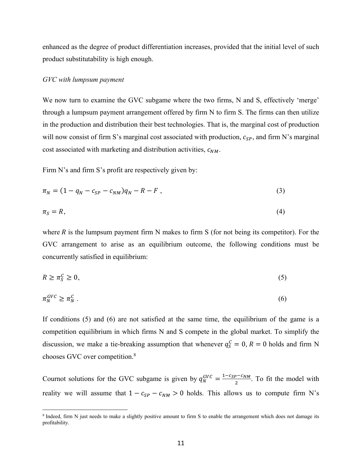enhanced as the degree of product differentiation increases, provided that the initial level of such product substitutability is high enough.

#### *GVC with lumpsum payment*

We now turn to examine the GVC subgame where the two firms, N and S, effectively 'merge' through a lumpsum payment arrangement offered by firm N to firm S. The firms can then utilize in the production and distribution their best technologies. That is, the marginal cost of production will now consist of firm S's marginal cost associated with production,  $c_{SP}$ , and firm N's marginal cost associated with marketing and distribution activities,  $c_{NM}$ .

Firm N's and firm S's profit are respectively given by:

$$
\pi_N = (1 - q_N - c_{SP} - c_{NM})q_N - R - F, \qquad (3)
$$

$$
\pi_S = R,\tag{4}
$$

where R is the lumpsum payment firm N makes to firm S (for not being its competitor). For the GVC arrangement to arise as an equilibrium outcome, the following conditions must be concurrently satisfied in equilibrium:

$$
R \ge \pi_S^C \ge 0,\tag{5}
$$

$$
\pi_N^{GVC} \ge \pi_N^C \,. \tag{6}
$$

If conditions (5) and (6) are not satisfied at the same time, the equilibrium of the game is a competition equilibrium in which firms N and S compete in the global market. To simplify the discussion, we make a tie-breaking assumption that whenever  $q_S^C = 0, R = 0$  holds and firm N chooses GVC over competition.8

Cournot solutions for the GVC subgame is given by  $q_N^{GVC} = \frac{1 - c_{SP} - c_{NM}}{2}$ . To fit the model with reality we will assume that  $1 - c_{SP} - c_{NM} > 0$  holds. This allows us to compute firm N's

<sup>8</sup> Indeed, firm N just needs to make a slightly positive amount to firm S to enable the arrangement which does not damage its profitability.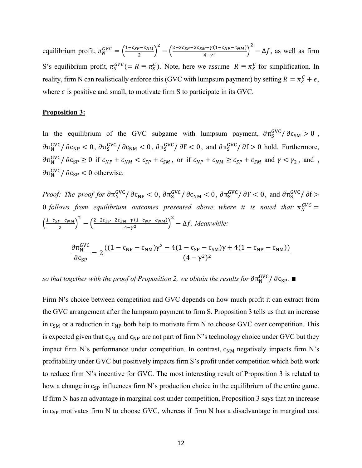equilibrium profit,  $\pi_N^{GVC} = \left(\frac{1-c_{SP}-c_{NM}}{2}\right)^2 - \left(\frac{2-2c_{SP}-2c_{SM}-\gamma(1-c_{NP}-c_{NM})}{4-\gamma^2}\right)^2 - \Delta f$ , as well as firm S's equilibrium profit,  $\pi_S^{GVC} (= R \equiv \pi_S^C)$ . Note, here we assume  $R \equiv \pi_S^C$  for simplification. In reality, firm N can realistically enforce this (GVC with lumpsum payment) by setting  $R = \pi_S^C + \epsilon$ , where  $\epsilon$  is positive and small, to motivate firm S to participate in its GVC.

# **Proposition 3:**

In the equilibrium of the GVC subgame with lumpsum payment,  $\partial \pi_S^{GVC} / \partial c_{SM} > 0$ ,  $\partial \pi_N^{\rm GVC} / \partial c_{\rm NP} < 0$ ,  $\partial \pi_S^{\rm GVC} / \partial c_{\rm NM} < 0$ ,  $\partial \pi_S^{\rm GVC} / \partial F < 0$ , and  $\partial \pi_S^{\rm GVC} / \partial f > 0$  hold. Furthermore,  $\frac{\partial \pi_N^{\text{GVC}}}{\partial c_{\text{SP}}} \geq 0$  if  $c_{NP} + c_{NM} < c_{SP} + c_{SM}$ , or if  $c_{NP} + c_{NM} \geq c_{SP} + c_{SM}$  and  $\gamma < \gamma_2$ , and,  $\partial \pi_N^{\text{GVC}}$  /  $\partial c_{\text{SP}}$  < 0 otherwise.

*Proof: The proof for*  $\frac{\partial \pi_N^{GVC}}{\partial c_{NP}} < 0$ *,*  $\frac{\partial \pi_S^{GVC}}{\partial c_{NM}} < 0$ *,*  $\frac{\partial \pi_S^{GVC}}{\partial F} < 0$ *, and*  $\frac{\partial \pi_S^{GVC}}{\partial f} > 0$ 0 follows from equilibrium outcomes presented above where it is noted that:  $\pi_N^{GVC} =$  $\left(\frac{1-c_{SP}-c_{NM}}{2}\right)^{2} - \left(\frac{2-2c_{SP}-2c_{SM}-\gamma(1-c_{NP}-c_{NM})}{4-\gamma^{2}}\right)^{2} - \Delta f$ . Meanwhile:

$$
\frac{\partial \pi_N^{\text{GVC}}}{\partial c_{\text{SP}}} = 2 \frac{((1 - c_{\text{NP}} - c_{\text{NM}})\gamma^2 - 4(1 - c_{\text{SP}} - c_{\text{SM}})\gamma + 4(1 - c_{\text{NP}} - c_{\text{NM}}))}{(4 - \gamma^2)^2}
$$

 $s$ o that together with the proof of Proposition 2, we obtain the results for  $\partial \pi^\text{GVC}_\text{N}/\,\partial \mathrm{c}_\text{SP}$ . ■

Firm N's choice between competition and GVC depends on how much profit it can extract from the GVC arrangement after the lumpsum payment to firm S. Proposition 3 tells us that an increase in  $c_{SM}$  or a reduction in  $c_{NP}$  both help to motivate firm N to choose GVC over competition. This is expected given that  $c_{SM}$  and  $c_{NP}$  are not part of firm N's technology choice under GVC but they impact firm N's performance under competition. In contrast,  $c_{NM}$  negatively impacts firm N's profitability under GVC but positively impacts firm S's profit under competition which both work to reduce firm N's incentive for GVC. The most interesting result of Proposition 3 is related to how a change in  $c_{SP}$  influences firm N's production choice in the equilibrium of the entire game. If firm N has an advantage in marginal cost under competition, Proposition 3 says that an increase in  $c_{SP}$  motivates firm N to choose GVC, whereas if firm N has a disadvantage in marginal cost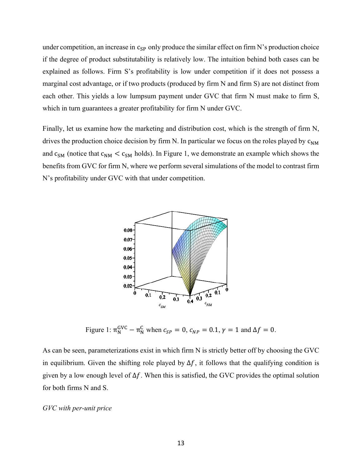under competition, an increase in  $c_{SP}$  only produce the similar effect on firm N's production choice if the degree of product substitutability is relatively low. The intuition behind both cases can be explained as follows. Firm S's profitability is low under competition if it does not possess a marginal cost advantage, or if two products (produced by firm N and firm S) are not distinct from each other. This yields a low lumpsum payment under GVC that firm N must make to firm S, which in turn guarantees a greater profitability for firm N under GVC.

Finally, let us examine how the marketing and distribution cost, which is the strength of firm N, drives the production choice decision by firm N. In particular we focus on the roles played by  $c_{NM}$ and  $c_{SM}$  (notice that  $c_{NM} < c_{SM}$  holds). In Figure 1, we demonstrate an example which shows the benefits from GVC for firm N, where we perform several simulations of the model to contrast firm N's profitability under GVC with that under competition.



Figure 1:  $\pi_N^{\text{GVC}} - \pi_N^{\text{C}}$  when  $c_{SP} = 0$ ,  $c_{NP} = 0.1$ ,  $\gamma = 1$  and  $\Delta f = 0$ .

As can be seen, parameterizations exist in which firm N is strictly better off by choosing the GVC in equilibrium. Given the shifting role played by  $\Delta f$ , it follows that the qualifying condition is given by a low enough level of  $\Delta f$ . When this is satisfied, the GVC provides the optimal solution for both firms N and S.

#### *GVC with per-unit price*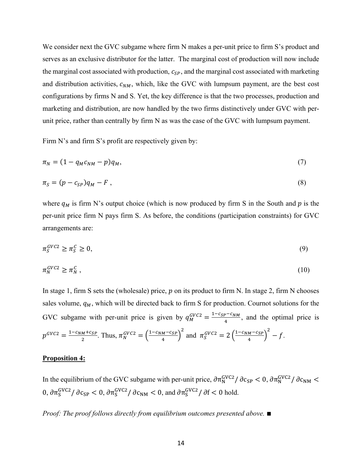We consider next the GVC subgame where firm N makes a per-unit price to firm S's product and serves as an exclusive distributor for the latter. The marginal cost of production will now include the marginal cost associated with production,  $c_{SP}$ , and the marginal cost associated with marketing and distribution activities,  $c_{NM}$ , which, like the GVC with lumpsum payment, are the best cost configurations by firms N and S. Yet, the key difference is that the two processes, production and marketing and distribution, are now handled by the two firms distinctively under GVC with perunit price, rather than centrally by firm N as was the case of the GVC with lumpsum payment.

Firm N's and firm S's profit are respectively given by:

$$
\pi_N = (1 - q_M c_{NM} - p)q_M,\tag{7}
$$

$$
\pi_S = (p - c_{SP})q_M - F \t\t(8)
$$

where  $q_M$  is firm N's output choice (which is now produced by firm S in the South and  $p$  is the per-unit price firm N pays firm S. As before, the conditions (participation constraints) for GVC arrangements are:

$$
\pi_S^{GVC2} \ge \pi_S^C \ge 0,\tag{9}
$$

$$
\pi_N^{GVC2} \ge \pi_N^C \,,\tag{10}
$$

In stage 1, firm S sets the (wholesale) price,  $p$  on its product to firm N. In stage 2, firm N chooses sales volume,  $q_M$ , which will be directed back to firm S for production. Cournot solutions for the GVC subgame with per-unit price is given by  $q_M^{GVC2} = \frac{1 - c_{SP} - c_{NM}}{4}$ , and the optimal price is  $p^{GVC2} = \frac{1 - c_{NM} + c_{SP}}{2}$ . Thus,  $\pi_N^{GVC2} = \left(\frac{1 - c_{NM} - c_{SP}}{4}\right)^2$  and  $\pi_S^{GVC2} = 2\left(\frac{1 - c_{NM} - c_{SP}}{4}\right)^2 - f$ .

#### **Proposition 4:**

In the equilibrium of the GVC subgame with per-unit price,  $\frac{\partial \pi_N^{\rm GVC2}}{\partial c_{\rm SP}}$  < 0,  $\frac{\partial \pi_N^{\rm GVC2}}{\partial c_{\rm NM}}$  < 0,  $\frac{\partial \pi_S^{\text{GVC2}}}{\partial c_{\text{SP}}}$  < 0,  $\frac{\partial \pi_S^{\text{GVC2}}}{\partial c_{\text{NM}}}$  < 0, and  $\frac{\partial \pi_S^{\text{GVC2}}}{\partial f}$  ∂f < 0 hold.

*Proof: The proof follows directly from equilibrium outcomes presented above.* ∎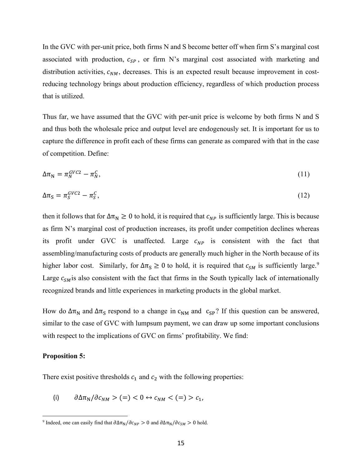In the GVC with per-unit price, both firms N and S become better off when firm S's marginal cost associated with production,  $c_{SP}$ , or firm N's marginal cost associated with marketing and distribution activities,  $c_{NM}$ , decreases. This is an expected result because improvement in costreducing technology brings about production efficiency, regardless of which production process that is utilized.

Thus far, we have assumed that the GVC with per-unit price is welcome by both firms N and S and thus both the wholesale price and output level are endogenously set. It is important for us to capture the difference in profit each of these firms can generate as compared with that in the case of competition. Define:

$$
\Delta \pi_N = \pi_N^{GVC2} - \pi_N^C,\tag{11}
$$

$$
\Delta \pi_S = \pi_S^{GVC2} - \pi_S^C,\tag{12}
$$

then it follows that for  $\Delta \pi_N \geq 0$  to hold, it is required that  $c_{NP}$  is sufficiently large. This is because as firm N's marginal cost of production increases, its profit under competition declines whereas its profit under GVC is unaffected. Large  $c_{NP}$  is consistent with the fact that assembling/manufacturing costs of products are generally much higher in the North because of its higher labor cost. Similarly, for  $\Delta \pi_S \ge 0$  to hold, it is required that  $c_{SM}$  is sufficiently large.<sup>9</sup> Large  $c_{SM}$  is also consistent with the fact that firms in the South typically lack of internationally recognized brands and little experiences in marketing products in the global market.

How do  $\Delta \pi_N$  and  $\Delta \pi_S$  respond to a change in  $c_{NN}$  and  $c_{SP}$ ? If this question can be answered, similar to the case of GVC with lumpsum payment, we can draw up some important conclusions with respect to the implications of GVC on firms' profitability. We find:

#### **Proposition 5:**

There exist positive thresholds  $c_1$  and  $c_2$  with the following properties:

(i)  $\partial \Delta \pi_N / \partial c_{NM} > (=) < 0 \leftrightarrow c_{NM} < (=) > c_1$ ,

<sup>&</sup>lt;sup>9</sup> Indeed, one can easily find that  $\partial \Delta \pi_N / \partial c_{NP} > 0$  and  $\partial \Delta \pi_N / \partial c_{SM} > 0$  hold.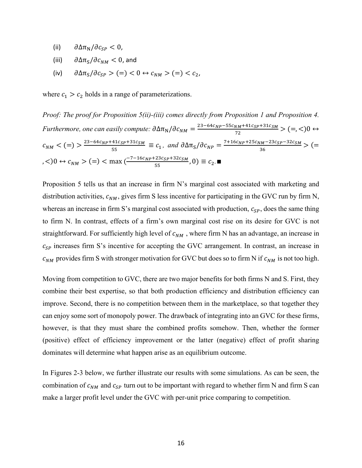- (ii)  $\partial \Delta \pi_N / \partial c_{SP} < 0$ ,
- (iii)  $\partial \Delta \pi_S / \partial c_{NM} < 0$ , and
- (iv)  $\partial \Delta \pi_S / \partial c_{SP} > (=) < 0 \leftrightarrow c_{NM} > (=) < c_2$ ,

where  $c_1 > c_2$  holds in a range of parameterizations.

*Proof: The proof for Proposition 5(ii)-(iii) comes directly from Proposition 1 and Proposition 4.*   $Furthermore, one can easily compute:  $\frac{\partial \Delta \pi_N}{\partial c_{NM}} = \frac{23 - 64c_{NP} - 55c_{NM} + 41c_{SP} + 31c_{SM}}{72} > (=, <)0 \leftrightarrow$$  $c_{NM} < ( = ) > \frac{23 - 64c_{NP} + 41c_{SP} + 31c_{SM}}{55} \equiv c_1$ , and  $\partial \Delta \pi_S / \partial c_{NP} = \frac{7 + 16c_{NP} + 25c_{NM} - 23c_{SP} - 32c_{SM}}{36} > ( =$  $(c, 0)$  ↔  $c_{NM}$  > (=) < max ( $\frac{-7 - 16c_{NP} + 23c_{SP} + 32c_{SM}}{55}$ , 0)  $\equiv c_2$ .

Proposition 5 tells us that an increase in firm N's marginal cost associated with marketing and distribution activities,  $c_{NM}$ , gives firm S less incentive for participating in the GVC run by firm N, whereas an increase in firm S's marginal cost associated with production,  $c_{SP}$ , does the same thing to firm N. In contrast, effects of a firm's own marginal cost rise on its desire for GVC is not straightforward. For sufficiently high level of  $c_{NM}$ , where firm N has an advantage, an increase in  $c_{SP}$  increases firm S's incentive for accepting the GVC arrangement. In contrast, an increase in  $c_{NM}$  provides firm S with stronger motivation for GVC but does so to firm N if  $c_{NM}$  is not too high.

Moving from competition to GVC, there are two major benefits for both firms N and S. First, they combine their best expertise, so that both production efficiency and distribution efficiency can improve. Second, there is no competition between them in the marketplace, so that together they can enjoy some sort of monopoly power. The drawback of integrating into an GVC for these firms, however, is that they must share the combined profits somehow. Then, whether the former (positive) effect of efficiency improvement or the latter (negative) effect of profit sharing dominates will determine what happen arise as an equilibrium outcome.

In Figures 2-3 below, we further illustrate our results with some simulations. As can be seen, the combination of  $c_{NM}$  and  $c_{SP}$  turn out to be important with regard to whether firm N and firm S can make a larger profit level under the GVC with per-unit price comparing to competition.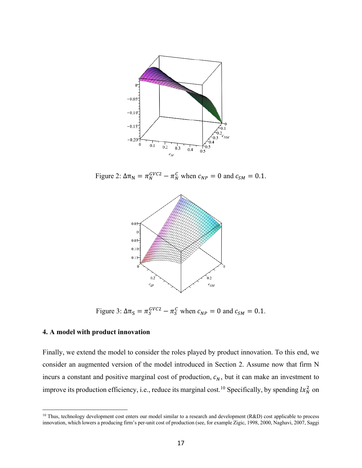

Figure 2:  $\Delta \pi_N = \pi_N^{GVC2} - \pi_N^C$  when  $c_{NP} = 0$  and  $c_{SM} = 0.1$ .



Figure 3:  $\Delta \pi_S = \pi_S^{GVC2} - \pi_S^C$  when  $c_{NP} = 0$  and  $c_{SM} = 0.1$ .

# **4. A model with product innovation**

Finally, we extend the model to consider the roles played by product innovation. To this end, we consider an augmented version of the model introduced in Section 2. Assume now that firm N incurs a constant and positive marginal cost of production,  $c_N$ , but it can make an investment to improve its production efficiency, i.e., reduce its marginal cost.<sup>10</sup> Specifically, by spending  $lx_N^2$  on

<sup>&</sup>lt;sup>10</sup> Thus, technology development cost enters our model similar to a research and development (R&D) cost applicable to process innovation, which lowers a producing firm's per-unit cost of production (see, for example Zigic, 1998, 2000, Naghavi, 2007, Saggi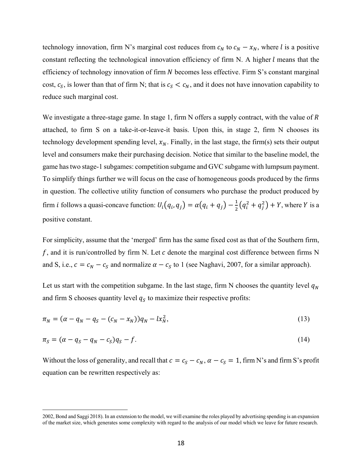technology innovation, firm N's marginal cost reduces from  $c_N$  to  $c_N - x_N$ , where l is a positive constant reflecting the technological innovation efficiency of firm N. A higher  $l$  means that the efficiency of technology innovation of firm N becomes less effective. Firm S's constant marginal cost,  $c_s$ , is lower than that of firm N; that is  $c_s < c_N$ , and it does not have innovation capability to reduce such marginal cost.

We investigate a three-stage game. In stage 1, firm N offers a supply contract, with the value of  $R$ attached, to firm S on a take-it-or-leave-it basis. Upon this, in stage 2, firm N chooses its technology development spending level,  $x_N$ . Finally, in the last stage, the firm(s) sets their output level and consumers make their purchasing decision. Notice that similar to the baseline model, the game has two stage-1 subgames: competition subgame and GVC subgame with lumpsum payment. To simplify things further we will focus on the case of homogeneous goods produced by the firms in question. The collective utility function of consumers who purchase the product produced by firm *i* follows a quasi-concave function:  $U_i(q_i, q_j) = \alpha(q_i + q_j) - \frac{1}{2}(q_i^2 + q_j^2) + Y$ , where *Y* is a positive constant.

For simplicity, assume that the 'merged' firm has the same fixed cost as that of the Southern firm,  $f$ , and it is run/controlled by firm N. Let  $c$  denote the marginal cost difference between firms N and S, i.e.,  $c = c_N - c_S$  and normalize  $\alpha - c_S$  to 1 (see Naghavi, 2007, for a similar approach).

Let us start with the competition subgame. In the last stage, firm N chooses the quantity level  $q_N$ and firm S chooses quantity level  $q_s$  to maximize their respective profits:

$$
\pi_N = (\alpha - q_N - q_S - (c_N - x_N))q_N - lx_N^2,
$$
\n(13)

$$
\pi_S = (\alpha - q_S - q_N - c_S)q_S - f. \tag{14}
$$

Without the loss of generality, and recall that  $c = c_S - c_N$ ,  $\alpha - c_S = 1$ , firm N's and firm S's profit equation can be rewritten respectively as:

<sup>2002,</sup> Bond and Saggi 2018). In an extension to the model, we will examine the roles played by advertising spending is an expansion of the market size, which generates some complexity with regard to the analysis of our model which we leave for future research.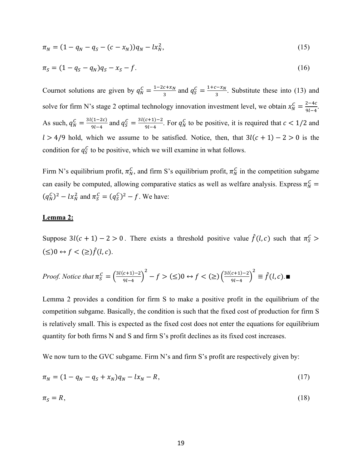$$
\pi_N = (1 - q_N - q_S - (c - x_N))q_N - lx_N^2,\tag{15}
$$

$$
\pi_S = (1 - q_S - q_N)q_S - x_S - f. \tag{16}
$$

Cournot solutions are given by  $q_N^C = \frac{1-2c+x_N}{3}$  and  $q_S^C = \frac{1+c-x_N}{3}$ . Substitute these into (13) and solve for firm N's stage 2 optimal technology innovation investment level, we obtain  $x_N^C = \frac{2-4c}{9l-4}$ . As such,  $q_N^C = \frac{3l(1-2c)}{9l-4}$  and  $q_S^C = \frac{3l(c+1)-2}{9l-4}$ . For  $q_N^C$  to be positive, it is required that  $c < 1/2$  and  $l > 4/9$  hold, which we assume to be satisfied. Notice, then, that  $3l(c + 1) - 2 > 0$  is the condition for  $q_s^c$  to be positive, which we will examine in what follows.

Firm N's equilibrium profit,  $\pi_N^C$ , and firm S's equilibrium profit,  $\pi_N^C$  in the competition subgame can easily be computed, allowing comparative statics as well as welfare analysis. Express  $\pi_N^C$  =  $(q_N^C)^2 - lx_N^2$  and  $\pi_S^C = (q_S^C)^2 - f$ . We have:

#### **Lemma 2:**

Suppose  $3l(c + 1) - 2 > 0$ . There exists a threshold positive value  $\hat{f}(l, c)$  such that  $\pi_S^c$  $(\leq)0 \leftrightarrow f < (\geq) \hat{f}(l, c).$ 

*Proof.* Notice that 
$$
\pi_S^C = \left(\frac{3l(c+1)-2}{9l-4}\right)^2 - f > (\leq) 0 \leftrightarrow f < (\geq) \left(\frac{3l(c+1)-2}{9l-4}\right)^2 \equiv \hat{f}(l, c).
$$

Lemma 2 provides a condition for firm S to make a positive profit in the equilibrium of the competition subgame. Basically, the condition is such that the fixed cost of production for firm S is relatively small. This is expected as the fixed cost does not enter the equations for equilibrium quantity for both firms N and S and firm S's profit declines as its fixed cost increases.

We now turn to the GVC subgame. Firm N's and firm S's profit are respectively given by:

$$
\pi_N = (1 - q_N - q_S + x_N)q_N - lx_N - R,\tag{17}
$$

$$
\pi_{\mathcal{S}} = R,\tag{18}
$$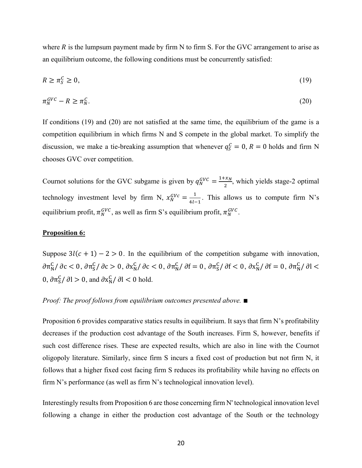where  $R$  is the lumpsum payment made by firm N to firm S. For the GVC arrangement to arise as an equilibrium outcome, the following conditions must be concurrently satisfied:

$$
R \ge \pi_S^C \ge 0,\tag{19}
$$

$$
\pi_N^{GVC} - R \ge \pi_N^C. \tag{20}
$$

If conditions (19) and (20) are not satisfied at the same time, the equilibrium of the game is a competition equilibrium in which firms N and S compete in the global market. To simplify the discussion, we make a tie-breaking assumption that whenever  $q_S^C = 0, R = 0$  holds and firm N chooses GVC over competition.

Cournot solutions for the GVC subgame is given by  $q_N^{GVC} = \frac{1+x_N}{2}$ , which yields stage-2 optimal technology investment level by firm N,  $x_N^{GVC} = \frac{1}{4l-1}$ . This allows us to compute firm N's equilibrium profit,  $\pi_N^{GVC}$ , as well as firm S's equilibrium profit,  $\pi_N^{GVC}$ .

#### **Proposition 6:**

Suppose  $3l(c + 1) - 2 > 0$ . In the equilibrium of the competition subgame with innovation,  $\partial \pi_N^C$ / ∂c < 0,  $\partial \pi_S^C$ / ∂c > 0,  $\partial x_N^C$ / ∂c < 0,  $\partial \pi_N^C$ / ∂f = 0,  $\partial \pi_S^C$ / ∂f = 0,  $\partial \pi_N^C$ / ∂l < 0,  $\frac{\partial \pi S}{\partial s}$  /  $\frac{\partial l}{\partial s} > 0$ , and  $\frac{\partial x_N^C}{\partial l}$  /  $\frac{\partial l}{\partial s} < 0$  hold.

# *Proof: The proof follows from equilibrium outcomes presented above.* ∎

Proposition 6 provides comparative statics results in equilibrium. It says that firm N's profitability decreases if the production cost advantage of the South increases. Firm S, however, benefits if such cost difference rises. These are expected results, which are also in line with the Cournot oligopoly literature. Similarly, since firm S incurs a fixed cost of production but not firm N, it follows that a higher fixed cost facing firm S reduces its profitability while having no effects on firm N's performance (as well as firm N's technological innovation level).

Interestingly results from Proposition 6 are those concerning firm N' technological innovation level following a change in either the production cost advantage of the South or the technology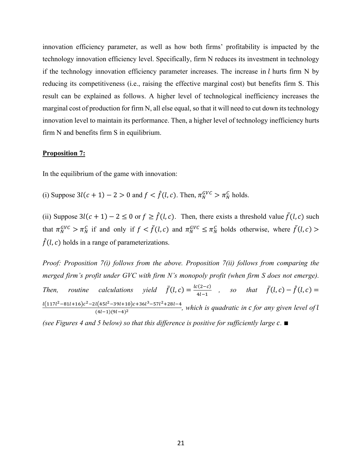innovation efficiency parameter, as well as how both firms' profitability is impacted by the technology innovation efficiency level. Specifically, firm N reduces its investment in technology if the technology innovation efficiency parameter increases. The increase in  $l$  hurts firm N by reducing its competitiveness (i.e., raising the effective marginal cost) but benefits firm S. This result can be explained as follows. A higher level of technological inefficiency increases the marginal cost of production for firm N, all else equal, so that it will need to cut down its technology innovation level to maintain its performance. Then, a higher level of technology inefficiency hurts firm N and benefits firm S in equilibrium.

#### **Proposition 7:**

In the equilibrium of the game with innovation:

(i) Suppose  $3l(c + 1) - 2 > 0$  and  $f < \hat{f}(l, c)$ . Then,  $\pi_N^{GVC} > \pi_N^C$  holds.

(ii) Suppose  $3l(c + 1) - 2 \leq 0$  or  $f \geq \hat{f}(l, c)$ . Then, there exists a threshold value  $\bar{f}(l, c)$  such that  $\pi_N^{GVC} > \pi_N^C$  if and only if  $f < \bar{f}(l,c)$  and  $\pi_N^{GVC} \leq \pi_N^C$  holds otherwise, where  $\bar{f}(l,c)$  $\hat{f}(l, c)$  holds in a range of parameterizations.

*Proof: Proposition 7(i) follows from the above. Proposition 7(ii) follows from comparing the merged firm's profit under GVC with firm N's monopoly profit (when firm S does not emerge). Then,* routine calculations yield  $\bar{f}(l,c) = \frac{l c(2-c)}{4l-1}$ , so that  $\bar{f}(l,c) - \hat{f}(l,c) =$  $\frac{d(117l^2 - 81l + 16)c^2 - 2l(45l^2 - 39l + 10)c + 36l^3 - 57l^2 + 28l - 4}{(4l - 1)(9l - 4)^2}$ , which is quadratic in *c* for any given level of l

*(see Figures 4 and 5 below) so that this difference is positive for sufficiently large .* ∎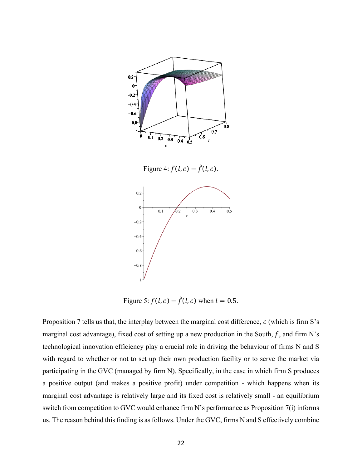

Figure 4:  $\bar{f}(l, c) - \hat{f}(l, c)$ .



Figure 5:  $\bar{f}(l, c) - \hat{f}(l, c)$  when  $l = 0.5$ .

Proposition 7 tells us that, the interplay between the marginal cost difference,  $c$  (which is firm S's marginal cost advantage), fixed cost of setting up a new production in the South,  $f$ , and firm N's technological innovation efficiency play a crucial role in driving the behaviour of firms N and S with regard to whether or not to set up their own production facility or to serve the market via participating in the GVC (managed by firm N). Specifically, in the case in which firm S produces a positive output (and makes a positive profit) under competition - which happens when its marginal cost advantage is relatively large and its fixed cost is relatively small - an equilibrium switch from competition to GVC would enhance firm N's performance as Proposition 7(i) informs us. The reason behind this finding is as follows. Under the GVC, firms N and S effectively combine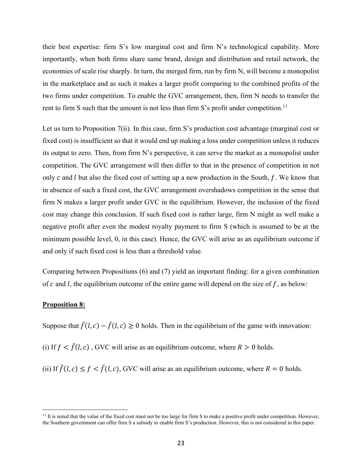their best expertise: firm S's low marginal cost and firm N's technological capability. More importantly, when both firms share same brand, design and distribution and retail network, the economies of scale rise sharply. In turn, the merged firm, run by firm N, will become a monopolist in the marketplace and as such it makes a larger profit comparing to the combined profits of the two firms under competition. To enable the GVC arrangement, then, firm N needs to transfer the rent to firm S such that the amount is not less than firm S's profit under competition.<sup>11</sup>

Let us turn to Proposition 7(ii). In this case, firm S's production cost advantage (marginal cost or fixed cost) is insufficient so that it would end up making a loss under competition unless it reduces its output to zero. Then, from firm N's perspective, it can serve the market as a monopolist under competition. The GVC arrangement will then differ to that in the presence of competition in not only c and  $l$  but also the fixed cost of setting up a new production in the South,  $f$ . We know that in absence of such a fixed cost, the GVC arrangement overshadows competition in the sense that firm N makes a larger profit under GVC in the equilibrium. However, the inclusion of the fixed cost may change this conclusion. If such fixed cost is rather large, firm N might as well make a negative profit after even the modest royalty payment to firm S (which is assumed to be at the minimum possible level, 0, in this case). Hence, the GVC will arise as an equilibrium outcome if and only if such fixed cost is less than a threshold value.

Comparing between Propositions (6) and (7) yield an important finding: for a given combination of  $c$  and  $l$ , the equilibrium outcome of the entire game will depend on the size of  $f$ , as below:

#### **Proposition 8:**

Suppose that  $\bar{f}(l, c) - \hat{f}(l, c) \ge 0$  holds. Then in the equilibrium of the game with innovation:

(i) If  $f < \hat{f}(l, c)$ , GVC will arise as an equilibrium outcome, where  $R > 0$  holds.

(ii) If  $\hat{f}(l, c) \le f < \bar{f}(l, c)$ , GVC will arise as an equilibrium outcome, where  $R = 0$  holds.

<sup>&</sup>lt;sup>11</sup> It is noted that the value of the fixed cost must not be too large for firm S to make a positive profit under competition. However, the Southern government can offer firm S a subsidy to enable firm S's production. However, this is not considered in this paper.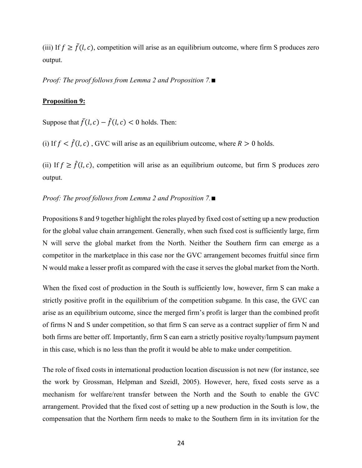(iii) If  $f \geq \overline{f}(l, c)$ , competition will arise as an equilibrium outcome, where firm S produces zero output.

*Proof: The proof follows from Lemma 2 and Proposition 7.*∎

#### **Proposition 9:**

Suppose that  $\bar{f}(l, c) - \hat{f}(l, c) < 0$  holds. Then:

(i) If  $f < \hat{f}(l, c)$ , GVC will arise as an equilibrium outcome, where  $R > 0$  holds.

(ii) If  $f \ge \hat{f}(l, c)$ , competition will arise as an equilibrium outcome, but firm S produces zero output.

#### *Proof: The proof follows from Lemma 2 and Proposition 7.*∎

Propositions 8 and 9 together highlight the roles played by fixed cost of setting up a new production for the global value chain arrangement. Generally, when such fixed cost is sufficiently large, firm N will serve the global market from the North. Neither the Southern firm can emerge as a competitor in the marketplace in this case nor the GVC arrangement becomes fruitful since firm N would make a lesser profit as compared with the case it serves the global market from the North.

When the fixed cost of production in the South is sufficiently low, however, firm S can make a strictly positive profit in the equilibrium of the competition subgame. In this case, the GVC can arise as an equilibrium outcome, since the merged firm's profit is larger than the combined profit of firms N and S under competition, so that firm S can serve as a contract supplier of firm N and both firms are better off. Importantly, firm S can earn a strictly positive royalty/lumpsum payment in this case, which is no less than the profit it would be able to make under competition.

The role of fixed costs in international production location discussion is not new (for instance, see the work by Grossman, Helpman and Szeidl, 2005). However, here, fixed costs serve as a mechanism for welfare/rent transfer between the North and the South to enable the GVC arrangement. Provided that the fixed cost of setting up a new production in the South is low, the compensation that the Northern firm needs to make to the Southern firm in its invitation for the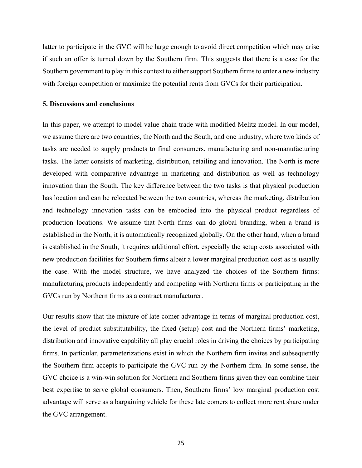latter to participate in the GVC will be large enough to avoid direct competition which may arise if such an offer is turned down by the Southern firm. This suggests that there is a case for the Southern government to play in this context to either support Southern firms to enter a new industry with foreign competition or maximize the potential rents from GVCs for their participation.

#### **5. Discussions and conclusions**

In this paper, we attempt to model value chain trade with modified Melitz model. In our model, we assume there are two countries, the North and the South, and one industry, where two kinds of tasks are needed to supply products to final consumers, manufacturing and non-manufacturing tasks. The latter consists of marketing, distribution, retailing and innovation. The North is more developed with comparative advantage in marketing and distribution as well as technology innovation than the South. The key difference between the two tasks is that physical production has location and can be relocated between the two countries, whereas the marketing, distribution and technology innovation tasks can be embodied into the physical product regardless of production locations. We assume that North firms can do global branding, when a brand is established in the North, it is automatically recognized globally. On the other hand, when a brand is established in the South, it requires additional effort, especially the setup costs associated with new production facilities for Southern firms albeit a lower marginal production cost as is usually the case. With the model structure, we have analyzed the choices of the Southern firms: manufacturing products independently and competing with Northern firms or participating in the GVCs run by Northern firms as a contract manufacturer.

Our results show that the mixture of late comer advantage in terms of marginal production cost, the level of product substitutability, the fixed (setup) cost and the Northern firms' marketing, distribution and innovative capability all play crucial roles in driving the choices by participating firms. In particular, parameterizations exist in which the Northern firm invites and subsequently the Southern firm accepts to participate the GVC run by the Northern firm. In some sense, the GVC choice is a win-win solution for Northern and Southern firms given they can combine their best expertise to serve global consumers. Then, Southern firms' low marginal production cost advantage will serve as a bargaining vehicle for these late comers to collect more rent share under the GVC arrangement.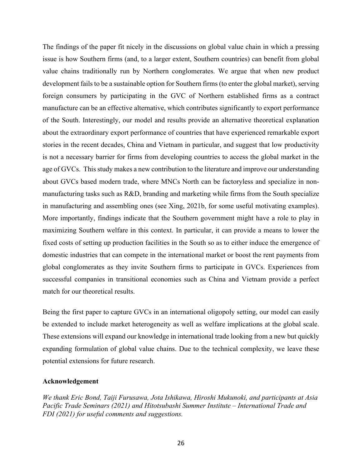The findings of the paper fit nicely in the discussions on global value chain in which a pressing issue is how Southern firms (and, to a larger extent, Southern countries) can benefit from global value chains traditionally run by Northern conglomerates. We argue that when new product development fails to be a sustainable option for Southern firms (to enter the global market), serving foreign consumers by participating in the GVC of Northern established firms as a contract manufacture can be an effective alternative, which contributes significantly to export performance of the South. Interestingly, our model and results provide an alternative theoretical explanation about the extraordinary export performance of countries that have experienced remarkable export stories in the recent decades, China and Vietnam in particular, and suggest that low productivity is not a necessary barrier for firms from developing countries to access the global market in the age of GVCs. This study makes a new contribution to the literature and improve our understanding about GVCs based modern trade, where MNCs North can be factoryless and specialize in nonmanufacturing tasks such as R&D, branding and marketing while firms from the South specialize in manufacturing and assembling ones (see Xing, 2021b, for some useful motivating examples). More importantly, findings indicate that the Southern government might have a role to play in maximizing Southern welfare in this context. In particular, it can provide a means to lower the fixed costs of setting up production facilities in the South so as to either induce the emergence of domestic industries that can compete in the international market or boost the rent payments from global conglomerates as they invite Southern firms to participate in GVCs. Experiences from successful companies in transitional economies such as China and Vietnam provide a perfect match for our theoretical results.

Being the first paper to capture GVCs in an international oligopoly setting, our model can easily be extended to include market heterogeneity as well as welfare implications at the global scale. These extensions will expand our knowledge in international trade looking from a new but quickly expanding formulation of global value chains. Due to the technical complexity, we leave these potential extensions for future research.

# **Acknowledgement**

*We thank Eric Bond, Taiji Furusawa, Jota Ishikawa, Hiroshi Mukunoki, and participants at Asia Pacific Trade Seminars (2021) and Hitotsubashi Summer Institute – International Trade and FDI (2021) for useful comments and suggestions.*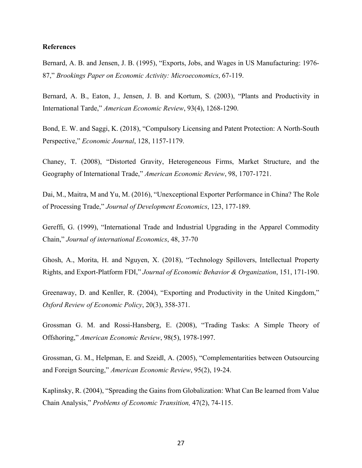#### **References**

Bernard, A. B. and Jensen, J. B. (1995), "Exports, Jobs, and Wages in US Manufacturing: 1976- 87," *Brookings Paper on Economic Activity: Microeconomics*, 67-119.

Bernard, A. B., Eaton, J., Jensen, J. B. and Kortum, S. (2003), "Plants and Productivity in International Tarde," *American Economic Review*, 93(4), 1268-1290.

Bond, E. W. and Saggi, K. (2018), "Compulsory Licensing and Patent Protection: A North-South Perspective," *Economic Journal*, 128, 1157-1179.

Chaney, T. (2008), "Distorted Gravity, Heterogeneous Firms, Market Structure, and the Geography of International Trade," *American Economic Review*, 98, 1707-1721.

Dai, M., Maitra, M and Yu, M. (2016), "Unexceptional Exporter Performance in China? The Role of Processing Trade," *Journal of Development Economics*, 123, 177-189.

Gereffi, G. (1999), "International Trade and Industrial Upgrading in the Apparel Commodity Chain," *Journal of international Economics*, 48, 37-70

Ghosh, A., Morita, H. and Nguyen, X. (2018), "Technology Spillovers, Intellectual Property Rights, and Export-Platform FDI," *Journal of Economic Behavior & Organization*, 151, 171-190.

Greenaway, D. and Kenller, R. (2004), "Exporting and Productivity in the United Kingdom," *Oxford Review of Economic Policy*, 20(3), 358-371.

Grossman G. M. and Rossi-Hansberg, E. (2008), "Trading Tasks: A Simple Theory of Offshoring," *American Economic Review*, 98(5), 1978-1997.

Grossman, G. M., Helpman, E. and Szeidl, A. (2005), "Complementarities between Outsourcing and Foreign Sourcing," *American Economic Review*, 95(2), 19-24.

Kaplinsky, R. (2004), "Spreading the Gains from Globalization: What Can Be learned from Value Chain Analysis," *Problems of Economic Transition,* 47(2), 74-115.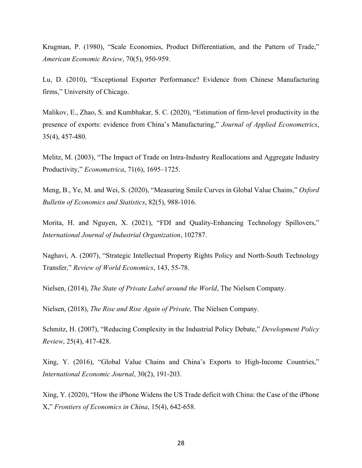Krugman, P. (1980), "Scale Economies, Product Differentiation, and the Pattern of Trade," *American Economic Review*, 70(5), 950-959.

Lu, D. (2010), "Exceptional Exporter Performance? Evidence from Chinese Manufacturing firms," University of Chicago.

Malikov, E., Zhao, S. and Kumbhakar, S. C. (2020), "Estimation of firm-level productivity in the presence of exports: evidence from China's Manufacturing," *Journal of Applied Econometrics*, 35(4), 457-480.

Melitz, M. (2003), "The Impact of Trade on Intra‐Industry Reallocations and Aggregate Industry Productivity," *Econometrica*, 71(6), 1695–1725.

Meng, B., Ye, M. and Wei, S. (2020), "Measuring Smile Curves in Global Value Chains," *Oxford Bulletin of Economics and Statistics*, 82(5), 988-1016.

Morita, H. and Nguyen, X. (2021), "FDI and Quality-Enhancing Technology Spillovers," *International Journal of Industrial Organization*, 102787.

Naghavi, A. (2007), "Strategic Intellectual Property Rights Policy and North-South Technology Transfer," *Review of World Economics*, 143, 55-78.

Nielsen, (2014), *The State of Private Label around the World*, The Nielsen Company.

Nielsen, (2018), *The Rise and Rise Again of Private,* The Nielsen Company.

Schmitz, H. (2007), "Reducing Complexity in the Industrial Policy Debate," *Development Policy Review*, 25(4), 417-428.

Xing, Y. (2016), "Global Value Chains and China's Exports to High-Income Countries," *International Economic Journal*, 30(2), 191-203.

Xing, Y. (2020), "How the iPhone Widens the US Trade deficit with China: the Case of the iPhone X," *Frontiers of Economics in China*, 15(4), 642-658.